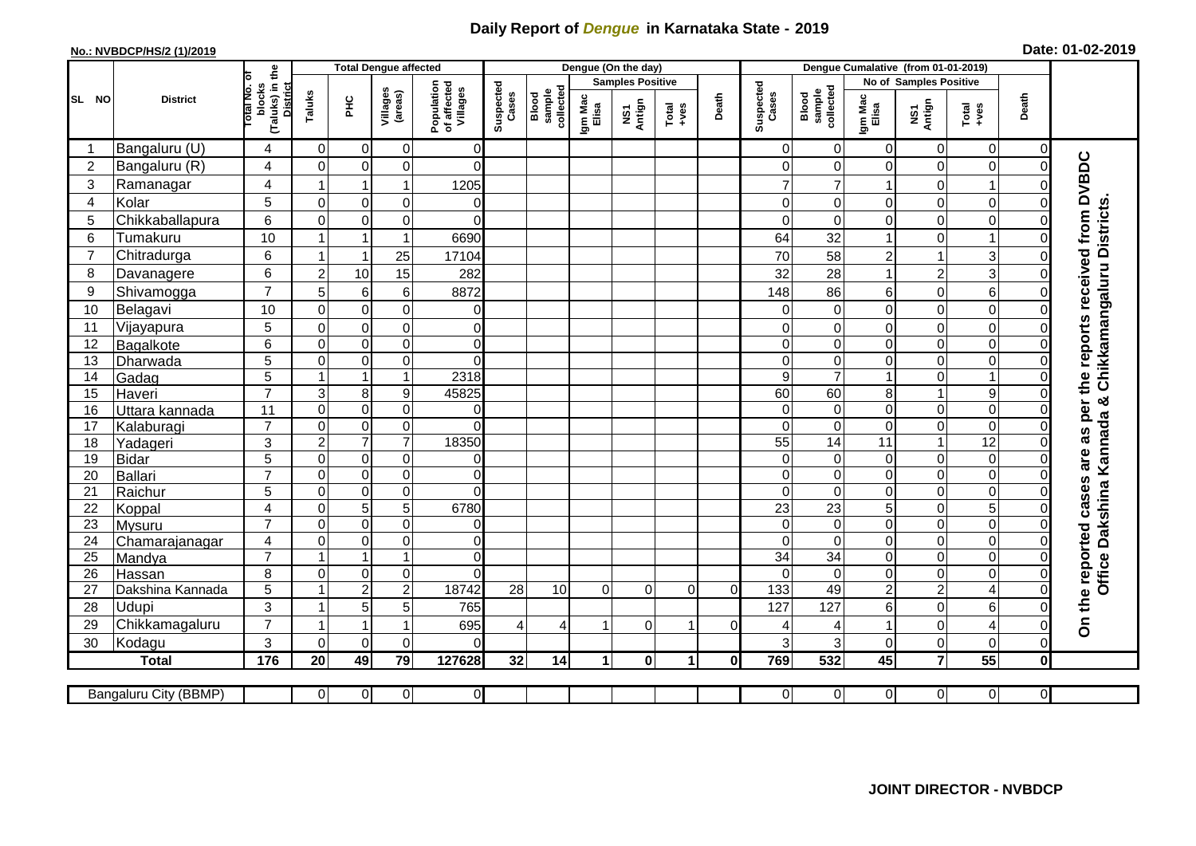## **Daily Report of** *Dengue* **in Karnataka State - 2019**

## **No.: NVBDCP/HS/2 (1)/2019 Date: 01-02-2019**

|                 |                       |                                                   | <b>Total Dengue affected</b> |                         |                     |                                       | Dengue (On the day)   |                              |                         |               |                   |              |                    | Dengue Cumalative (from 01-01-2019) |                        |                  |                 |                |                                            |  |
|-----------------|-----------------------|---------------------------------------------------|------------------------------|-------------------------|---------------------|---------------------------------------|-----------------------|------------------------------|-------------------------|---------------|-------------------|--------------|--------------------|-------------------------------------|------------------------|------------------|-----------------|----------------|--------------------------------------------|--|
|                 |                       | ō                                                 |                              |                         |                     |                                       |                       |                              | <b>Samples Positive</b> |               |                   |              |                    |                                     | No of Samples Positive |                  |                 |                |                                            |  |
| SL NO           | <b>District</b>       | (Taluks) in the<br>District<br>otal No.<br>blocks | Taluks                       | PНC                     | Villages<br>(areas) | Population<br>of affected<br>Villages | Suspected<br>Cases    | Blood<br>sample<br>collected | Igm Mac<br>Elisa        | NS1<br>Antign | Total<br>$-1$ ves | Death        | Suspected<br>Cases | Blood<br>sample<br>collected        | Igm Mac<br>Elisa       | NS1<br>Antign    | $Total$         | Death          |                                            |  |
| -1              | Bangaluru (U)         | 4                                                 | $\Omega$                     | $\overline{0}$          | 0                   | $\Omega$                              |                       |                              |                         |               |                   |              | $\Omega$           | $\Omega$                            | $\Omega$               | 0                | 0               | $\Omega$       |                                            |  |
| $\overline{2}$  | Bangaluru (R)         | 4                                                 | $\Omega$                     | $\mathbf 0$             | 0                   | $\Omega$                              |                       |                              |                         |               |                   |              | 0                  | 0                                   | $\Omega$               | 0                | 0               | $\Omega$       | are as per the reports received from DVBDC |  |
| 3               | Ramanagar             | 4                                                 | 1                            | $\mathbf{1}$            | 1                   | 1205                                  |                       |                              |                         |               |                   |              | $\overline{7}$     |                                     |                        | 0                | 1               |                |                                            |  |
| 4               | Kolar                 | 5                                                 | $\overline{0}$               | $\overline{0}$          | 0                   | $\overline{O}$                        |                       |                              |                         |               |                   |              | $\mathbf 0$        | $\Omega$                            | $\Omega$               | $\mathbf 0$      | $\mathbf 0$     |                |                                            |  |
| 5               | Chikkaballapura       | 6                                                 | $\Omega$                     | $\overline{0}$          | 0                   | $\Omega$                              |                       |                              |                         |               |                   |              | $\Omega$           | $\Omega$                            | $\Omega$               | $\mathsf 0$      | $\mathbf 0$     |                | Chikkamangaluru Districts                  |  |
| 6               | Tumakuru              | 10                                                | 1                            | $\mathbf{1}$            | $\mathbf{1}$        | 6690                                  |                       |                              |                         |               |                   |              | 64                 | 32                                  |                        | $\mathbf 0$      | $\mathbf{1}$    |                |                                            |  |
| $\overline{7}$  | Chitradurga           | 6                                                 | $\overline{1}$               | $\mathbf{1}$            | 25                  | 17104                                 |                       |                              |                         |               |                   |              | 70                 | 58                                  | $\overline{c}$         | $\mathbf{1}$     | 3               |                |                                            |  |
| 8               | Davanagere            | 6                                                 | $\overline{2}$               | 10                      | 15                  | 282                                   |                       |                              |                         |               |                   |              | 32                 | 28                                  |                        | $\overline{c}$   | 3               | $\Omega$       |                                            |  |
| 9               | Shivamogga            | $\overline{7}$                                    | 5                            | $\,$ 6 $\,$             | 6                   | 8872                                  |                       |                              |                         |               |                   |              | 148                | 86                                  | 6                      | $\mathbf 0$      | 6               |                |                                            |  |
| 10              | Belagavi              | 10                                                | $\mathbf 0$                  | $\overline{0}$          | 0                   | <sub>0</sub>                          |                       |                              |                         |               |                   |              | 0                  | $\mathbf 0$                         | $\mathbf 0$            | $\mathbf 0$      | $\overline{0}$  |                |                                            |  |
| 11              | Vijayapura            | 5                                                 | $\mathbf 0$                  | $\overline{0}$          | 0                   | $\overline{0}$                        |                       |                              |                         |               |                   |              | $\Omega$           | 0                                   | $\Omega$               | $\mathsf 0$      | $\mathbf 0$     | 0              |                                            |  |
| 12              | Bagalkote             | 6                                                 | $\Omega$                     | $\overline{0}$          | $\mathbf 0$         | $\overline{O}$                        |                       |                              |                         |               |                   |              | $\Omega$           | $\Omega$                            | $\Omega$               | $\mathbf 0$      | $\mathbf 0$     | $\Omega$       |                                            |  |
| 13              | Dharwada              | 5                                                 | 0                            | $\overline{0}$          | $\pmb{0}$           | $\Omega$                              |                       |                              |                         |               |                   |              | $\Omega$           | $\mathbf 0$                         | $\Omega$               | $\overline{0}$   | $\overline{0}$  | $\Omega$       |                                            |  |
| 14              | Gadag                 | $\overline{5}$                                    | $\overline{1}$               | $\overline{1}$          | $\mathbf{1}$        | 2318                                  |                       |                              |                         |               |                   |              | 9                  | $\overline{7}$                      |                        | $\overline{0}$   | $\overline{1}$  |                |                                            |  |
| 15              | Haveri                | $\overline{7}$                                    | 3                            | $\,8\,$                 | $\boldsymbol{9}$    | 45825                                 |                       |                              |                         |               |                   |              | 60                 | $\overline{60}$                     | 8                      | $\mathbf{1}$     | $\overline{9}$  |                | න්                                         |  |
| 16              | Uttara kannada        | 11                                                | $\overline{0}$               | $\overline{0}$          | $\mathbf 0$         | $\overline{0}$                        |                       |                              |                         |               |                   |              | $\overline{0}$     | $\mathbf 0$                         | $\overline{0}$         | $\boldsymbol{0}$ | $\overline{0}$  | $\Omega$       |                                            |  |
| 17              | Kalaburagi            | $\overline{7}$                                    | $\Omega$                     | $\overline{0}$          | 0                   | $\Omega$                              |                       |                              |                         |               |                   |              | $\Omega$           | $\Omega$                            | $\Omega$               | $\overline{0}$   | $\overline{0}$  |                |                                            |  |
| 18              | Yadageri              | 3                                                 | $\overline{2}$               | $\overline{7}$          | $\overline{7}$      | 18350                                 |                       |                              |                         |               |                   |              | 55                 | 14                                  | 11                     | $\mathbf{1}$     | $\overline{12}$ |                |                                            |  |
| 19              | Bidar                 | $\overline{5}$                                    | $\overline{0}$               | $\overline{\mathsf{o}}$ | $\mathbf 0$         | $\overline{0}$                        |                       |                              |                         |               |                   |              | 0                  | $\Omega$                            | $\mathbf 0$            | $\overline{0}$   | $\overline{0}$  |                |                                            |  |
| 20              | Ballari               | $\overline{7}$                                    | 0                            | $\overline{0}$          | 0                   | $\overline{0}$                        |                       |                              |                         |               |                   |              | $\Omega$           | $\Omega$                            | $\Omega$               | $\mathsf 0$      | $\overline{0}$  |                |                                            |  |
| 21              | Raichur               | 5                                                 | 0                            | $\overline{0}$          | $\overline{0}$      | $\Omega$                              |                       |                              |                         |               |                   |              | $\Omega$           | $\Omega$                            | $\Omega$               | $\mathbf 0$      | $\overline{0}$  | $\Omega$       |                                            |  |
| 22              | Koppal                | 4                                                 | $\mathbf 0$                  | $\sigma$                | 5                   | 6780                                  |                       |                              |                         |               |                   |              | 23                 | 23                                  | 5                      | $\mathsf 0$      | $\overline{5}$  |                |                                            |  |
| 23              | Mysuru                | $\overline{7}$                                    | $\Omega$                     | $\overline{0}$          | $\pmb{0}$           | $\Omega$                              |                       |                              |                         |               |                   |              | $\Omega$           | $\Omega$                            | $\mathbf 0$            | $\overline{0}$   | $\overline{0}$  |                | Dakshina Kannada                           |  |
| 24              | Chamarajanagar        | 4<br>$\overline{7}$                               | $\mathbf 0$                  | $\overline{\mathsf{o}}$ | $\overline{0}$      | $\overline{O}$                        |                       |                              |                         |               |                   |              | $\Omega$           | $\Omega$                            | $\Omega$               | $\overline{0}$   | $\overline{0}$  |                |                                            |  |
| $\overline{25}$ | Mandya                |                                                   | 1                            | $\mathbf{1}$            | $\mathbf{1}$        | $\overline{0}$                        |                       |                              |                         |               |                   |              | 34                 | 34                                  | $\Omega$               | $\overline{0}$   | $\overline{0}$  |                |                                            |  |
| 26              | Hassan                | 8                                                 | $\mathbf 0$                  | $\overline{0}$          | $\pmb{0}$           | $\Omega$                              |                       |                              |                         |               |                   |              | $\Omega$           | $\Omega$                            | $\Omega$               | $\mathsf 0$      | $\mathbf 0$     | $\mathbf 0$    | Office                                     |  |
| 27              | Dakshina Kannada      | 5                                                 | 1                            | $\overline{2}$          | $\overline{c}$      | 18742                                 | 28                    | 10                           | $\Omega$                | $\Omega$      | $\mathbf 0$       | $\Omega$     | $\overline{133}$   | 49                                  | $\overline{2}$         | $\overline{2}$   | 4               | $\Omega$       |                                            |  |
| 28              | Udupi                 | 3                                                 | $\overline{1}$               | 5 <sup>1</sup>          | 5                   | 765                                   |                       |                              |                         |               |                   |              | 127                | 127                                 | 6                      | $\mathbf 0$      | $6\phantom{1}$  |                | On the reported cases                      |  |
| 29              | Chikkamagaluru        | $\overline{7}$                                    | 1                            | $\mathbf{1}$            | 1                   | 695                                   | $\boldsymbol{\Delta}$ | 4                            |                         | $\Omega$      |                   | $\Omega$     | 4                  |                                     |                        | $\mathbf 0$      | 4               | 0              |                                            |  |
| 30              | Kodagu                | 3                                                 | $\Omega$                     | $\mathbf 0$             | $\mathbf 0$         | $\Omega$                              |                       |                              |                         |               |                   |              | 3                  | 3                                   | $\Omega$               | $\mathbf 0$      | $\mathbf 0$     | $\Omega$       |                                            |  |
|                 | <b>Total</b>          | 176                                               | 20                           | 49                      | 79                  | 127628                                | 32                    | 14                           | 1                       | $\mathbf{0}$  | $\mathbf 1$       | $\mathbf{0}$ | 769                | 532                                 | 45                     | $\overline{7}$   | $\overline{55}$ | $\mathbf 0$    |                                            |  |
|                 | Bangaluru City (BBMP) |                                                   | $\overline{0}$               | 0                       | $\overline{0}$      | $\overline{0}$                        |                       |                              |                         |               |                   |              | $\overline{0}$     | $\overline{0}$                      | $\overline{0}$         | $\overline{0}$   | $\overline{0}$  | $\overline{0}$ |                                            |  |